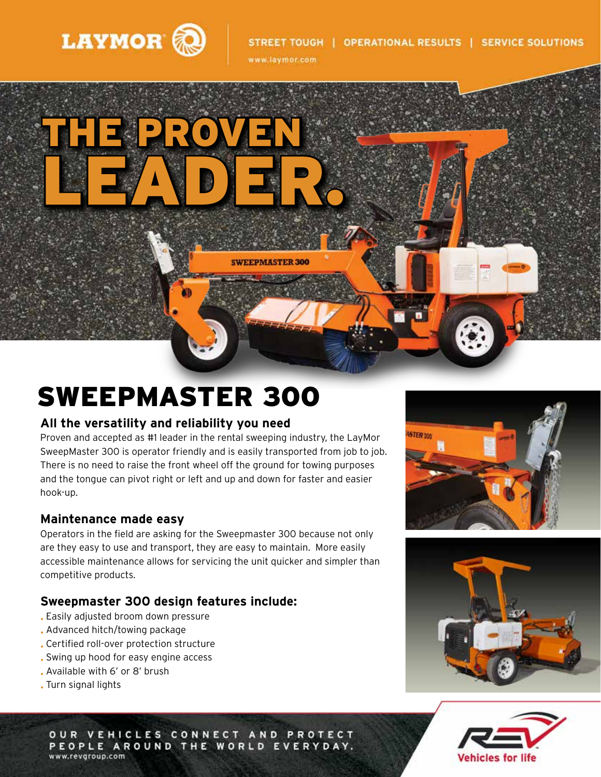

www.laymor.com



# SWEEPMASTER 300

#### **All the versatility and reliability you need**

Proven and accepted as #1 leader in the rental sweeping industry, the LayMor SweepMaster 300 is operator friendly and is easily transported from job to job. There is no need to raise the front wheel off the ground for towing purposes and the tongue can pivot right or left and up and down for faster and easier hook-up.

#### **Maintenance made easy**

Operators in the field are asking for the Sweepmaster 300 because not only are they easy to use and transport, they are easy to maintain. More easily accessible maintenance allows for servicing the unit quicker and simpler than competitive products.

### **Sweepmaster 300 design features include:**

- Easily adjusted broom down pressure
- Advanced hitch/towing package
- Certified roll-over protection structure
- Swing up hood for easy engine access
- Available with 6' or 8' brush
- Turn signal lights







0 U R **VEHICLES CONNECT AND PROTECT** PEOPLE AROUND THE WORLD EVERYDAY. www.revgroup.com